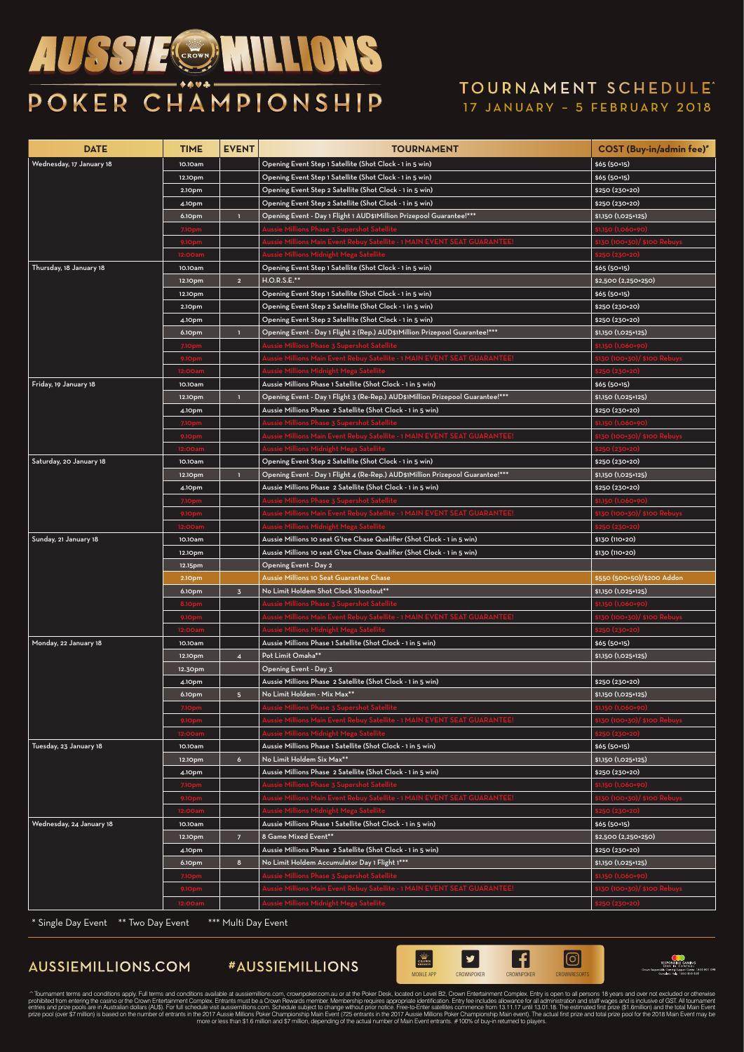# *AUSSIE®* MILLIONS POKER CHAMPIONSHIP

#### 17 JANUARY – 5 FEBRUARY 2018 TOURNAMENT SCHEDULE^

| <b>DATE</b>              | <b>TIME</b>      | <b>EVENT</b>            | <b>TOURNAMENT</b>                                                                           | <b>COST</b> (Buy-in/admin fee)"                    |
|--------------------------|------------------|-------------------------|---------------------------------------------------------------------------------------------|----------------------------------------------------|
| Wednesday, 17 January 18 | 10.10am          |                         | Opening Event Step 1 Satellite (Shot Clock - 1 in 5 win)                                    | $$65(50+15)$                                       |
|                          | 12.10pm          |                         | Opening Event Step 1 Satellite (Shot Clock - 1 in 5 win)                                    | $$65(50+15)$                                       |
|                          | 2.10pm           |                         | Opening Event Step 2 Satellite (Shot Clock - 1 in 5 win)                                    | \$250 (230+20)                                     |
|                          | 4.10pm           |                         | Opening Event Step 2 Satellite (Shot Clock - 1 in 5 win)                                    | \$250 (230+20)                                     |
|                          | 6.10pm           | $\mathbf{1}$            | Opening Event - Day 1 Flight 1 AUD\$1Million Prizepool Guarantee!***                        | $$1,150$ (1,025+125)                               |
|                          | 7.10pm           |                         | Aussie Millions Phase <mark>3 Supershot Satellit</mark>                                     | \$1,150 (1,060+90 <mark>)</mark>                   |
|                          | 9.10pm           |                         | Aussie Millions Main Event Rebuy Satellite - 1 MAIN EVENT SEAT GUARANTEE!                   | \$130 (100+30)/ \$100 Rebuys                       |
|                          | 12:00am          |                         | .<br>Aussie Millions Midnight Mega Satellite                                                | <b>\$250 (230+20)</b>                              |
| Thursday, 18 January 18  | 10.10am          |                         | Opening Event Step 1 Satellite (Shot Clock - 1 in 5 win)                                    | $$65(50+15)$                                       |
|                          | 12.10pm          | $\overline{2}$          | $H.O.R.S.E.**$                                                                              | $$2,500 (2,250+250)$                               |
|                          | 12.10pm          |                         | Opening Event Step 1 Satellite (Shot Clock - 1 in 5 win)                                    | $$65(50+15)$                                       |
|                          | 2.10pm           |                         | Opening Event Step 2 Satellite (Shot Clock - 1 in 5 win)                                    | \$250 (230+20)                                     |
|                          | 4.10pm           |                         | Opening Event Step 2 Satellite (Shot Clock - 1 in 5 win)                                    | \$250 (230+20)                                     |
|                          | 6.10pm           | п                       | Opening Event - Day 1 Flight 2 (Rep.) AUD\$1Million Prizepool Guarantee!***                 | $$1,150$ (1,025+125)                               |
|                          | 7.10pm           |                         | Aussie Millions Phase 3 Supershot Satellite                                                 | \$1,150 (1,060+90)                                 |
|                          | 9.10pm           |                         | Aussie Millions Main Event Rebuy Satellite - 1 MAIN EVENT SEAT GUARANTEE!                   | \$130 (100+30)/ \$100 Rebuys                       |
|                          | 12:00am          |                         | Aussie Millions Midnight Mega Satellite                                                     | \$250 (230+20)                                     |
| Friday, 19 January 18    | 10.10am          |                         | Aussie Millions Phase 1 Satellite (Shot Clock - 1 in 5 win)                                 | $$65(50+15)$                                       |
|                          | 12.10pm          | $\mathbf{L}$            | Opening Event - Day 1 Flight 3 (Re-Rep.) AUD\$1Million Prizepool Guarantee!***              | $$1,150$ (1,025+125)                               |
|                          | 4.10pm           |                         | Aussie Millions Phase 2 Satellite (Shot Clock - 1 in 5 win)                                 | \$250 (230+20)                                     |
|                          | 7.10pm           |                         | <mark>\ussie Millions Phase 3 Supershot Satel</mark>                                        | \$1,150 (1,060+                                    |
|                          | 9.10pm           |                         | اع <mark>Nussie Millions Main Event Rebuy Satellite - ۱ MAIN EVENT SEAT GUARANTEE</mark>    | \$130 (100+30)/ \$100 Rebuys                       |
|                          | 12:00am          |                         | .<br>Aussie Millions Midnight Mega Satellite                                                | \$250 (230+20)                                     |
| Saturday, 20 January 18  | 10.10am          |                         | Opening Event Step 2 Satellite (Shot Clock - 1 in 5 win)                                    | $$250 (230+20)$                                    |
|                          | 12.10pm          | п                       | Opening Event - Day 1 Flight 4 (Re-Rep.) AUD\$1Million Prizepool Guarantee!***              | $$1,150$ (1,025+125)                               |
|                          | 4.10pm           |                         | Aussie Millions Phase 2 Satellite (Shot Clock - 1 in 5 win)                                 | \$250 (230+20)                                     |
|                          | 7.10pm           |                         | Aussie Millions Phase 3 Supershot Satellite                                                 | \$1,150 (1,060+90)                                 |
|                          | 9.10pm           |                         | Lussie Millions Main Event Rebuy Satellite - 1 MAIN EVENT SEAT GUARANTEE                    | \$130 (100+30)/ \$100 Rebuys                       |
|                          | 12:00am          |                         | Aussie Millions Midnight Mega Satelli                                                       | \$250 (230+20)                                     |
| Sunday, 21 January 18    | 10.10am          |                         | Aussie Millions 10 seat G'tee Chase Qualifier (Shot Clock - 1 in 5 win)                     | \$130 (110+20)                                     |
|                          | 12.10pm          |                         | Aussie Millions 10 seat G'tee Chase Qualifier (Shot Clock - 1 in 5 win)                     | \$130 (110+20)                                     |
|                          | 12.15pm          |                         | Opening Event - Day 2<br>Aussie Millions 10 Seat Guarantee Chase                            | \$550 (500+50)/\$200 Addon                         |
|                          | 2.10pm<br>6.10pm | 3 <sup>7</sup>          | No Limit Holdem Shot Clock Shootout**                                                       | $$1,150$ (1,025+125)                               |
|                          | <b>8.10pm</b>    |                         | <b>Aussie Millions Phase 3 Supershot Satellite</b>                                          | \$1,150 (1,060+90)                                 |
|                          | 9.10pm           |                         | Aussie Millions Main Event Rebuy Satellite - 1 MAIN EVENT SEAT GUARANTEE!                   | \$130 (100+30)/ \$100 Rebuys                       |
|                          | 12:00am          |                         | .<br>Aussie Millions Midnight Mega Satellite                                                | \$250 (230+20)                                     |
| Monday, 22 January 18    | 10.10am          |                         | Aussie Millions Phase 1 Satellite (Shot Clock - 1 in 5 win)                                 | $$65(50+15)$                                       |
|                          | 12.10pm          | $\overline{\mathbf{4}}$ | Pot Limit Omaha**                                                                           | $$1,150$ (1,025+125)                               |
|                          | 12.30pm          |                         | Opening Event - Day 3                                                                       |                                                    |
|                          | 4.10pm           |                         | Aussie Millions Phase 2 Satellite (Shot Clock - 1 in 5 win)                                 | \$250 (230+20)                                     |
|                          | 6.10pm           | $5\phantom{.0}$         | No Limit Holdem - Mix Max**                                                                 | $$1,150$ (1,025+125)                               |
|                          | 7.10pm           |                         | <b>Aussie Millions Phase 3 Supershot Satellite</b>                                          |                                                    |
|                          | 9.10pm           |                         | اع الله الله -<br>Aussie Millions Main Event Rebuy Satellite - 1 MAIN EVENT SEAT GUARANTEE! | \$1,150 (1,060+90)<br>\$130 (100+30)/ \$100 Rebuys |
|                          | 12:00am          |                         | .<br>Aussie Millions Midnight Mega Satellite                                                | \$250 (230+20)                                     |
| Tuesday, 23 January 18   | 10.10am          |                         | Aussie Millions Phase 1 Satellite (Shot Clock - 1 in 5 win)                                 | $$65(50+15)$                                       |
|                          | 12.10pm          | 6 <sup>1</sup>          | No Limit Holdem Six Max**                                                                   | $$1,150$ (1,025+125)                               |
|                          | 4.10pm           |                         | Aussie Millions Phase 2 Satellite (Shot Clock - 1 in 5 win)                                 | $$250 (230+20)$                                    |
|                          | 7.10pm           |                         | Aussie Millions Phase <mark>3 Supershot Satel</mark> l                                      | \$1,150 (1,060+90)                                 |
|                          | 9.10pm           |                         | Millions Main Event Rebuy Satellite - 1 MAIN EVENT SEAT GUARANTEE                           | \$130 (100+30)/ \$100 Rebuys                       |
|                          | 12:00am          |                         | م<br>Aussie Millions Midnight Mega Satellit                                                 | \$250 (230+20)                                     |
| Wednesday, 24 January 18 | 10.10am          |                         | Aussie Millions Phase 1 Satellite (Shot Clock - 1 in 5 win)                                 | $$65(50+15)$                                       |
|                          | 12.10pm          | 7 <sup>7</sup>          | 8 Game Mixed Event**                                                                        | $$2,500 (2,250+250)$                               |
|                          | 4.10pm           |                         | Aussie Millions Phase 2 Satellite (Shot Clock - 1 in 5 win)                                 | \$250 (230+20)                                     |
|                          | 6.10pm           | 8 <sub>o</sub>          | No Limit Holdem Accumulator Day 1 Flight 1***                                               | $$1,150$ (1,025+125)                               |
|                          | 7.10pm           |                         | Aussie Millions Phase 3 Supershot Satellite                                                 | \$1,150 (1,060+90)                                 |
|                          | 9.10pm           |                         | Aussie Millions Main Event Rebuy Satellite - 1 MAIN EVENT SEAT GUARANTEE!                   | \$130 (100+30)/ \$100 Rebuys                       |
|                          | 12:00am          |                         | Aussie Millions Midnight Mega Satellite                                                     | \$250 (230+20)                                     |

\* Single Day Event \*\* Two Day Event \*\*\* Multi Day Event



^ Tournament terms and conditions apply. Full terms and conditions available at aussiemilions.com, crownpoker.com au or at the Poker Desk, located on the fact in the material mental terms and one wise and out all administr